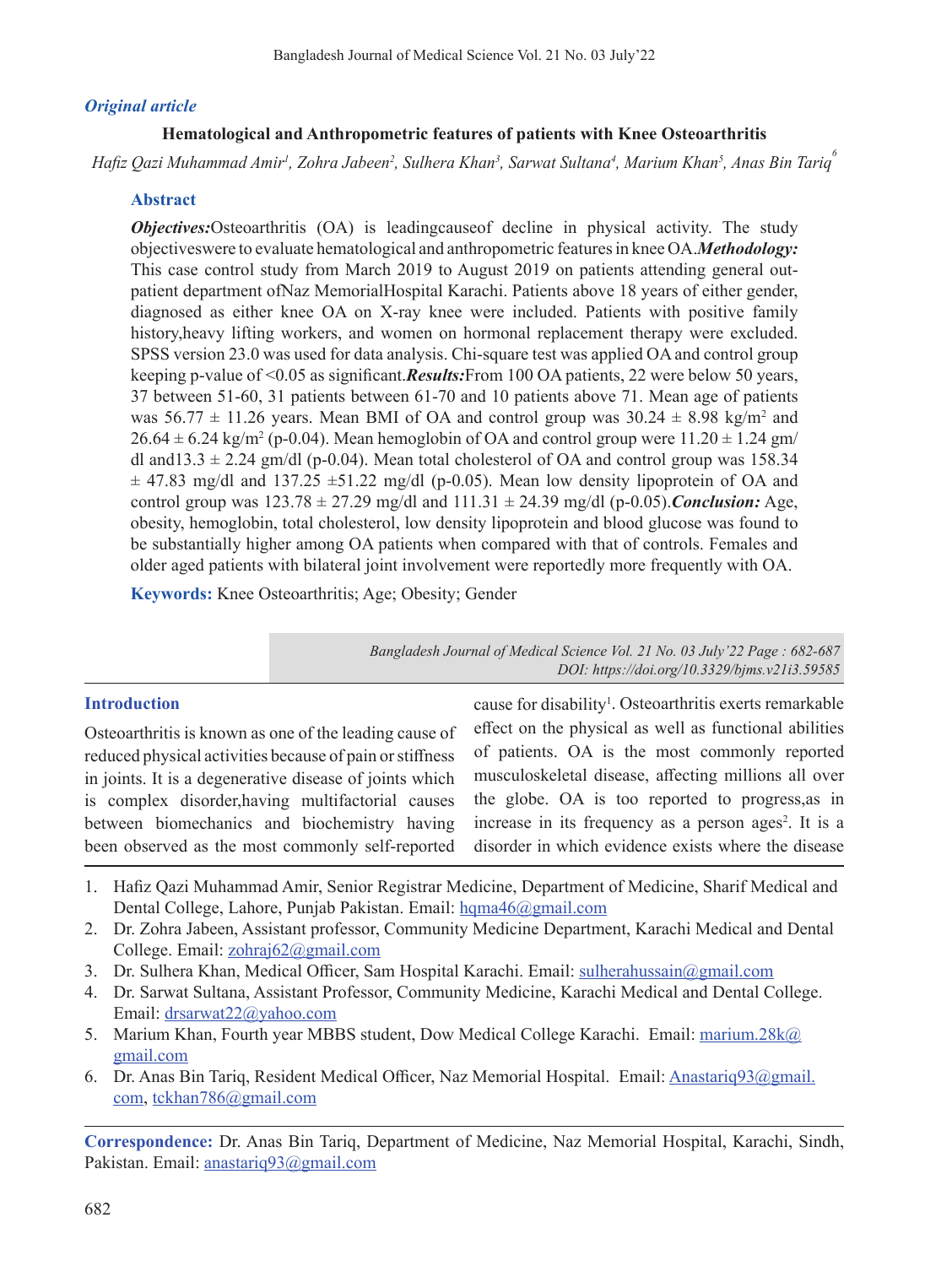# *Original article*

# **Hematological and Anthropometric features of patients with Knee Osteoarthritis**

*Hafiz Qazi Muhammad Amir<sup>1</sup> , Zohra Jabeen<sup>2</sup> , Sulhera Khan<sup>3</sup> , Sarwat Sultana<sup>4</sup> , Marium Khan<sup>5</sup> , Anas Bin Tariq<sup>6</sup>*

# **Abstract**

*Objectives:*Osteoarthritis (OA) is leadingcause of decline in physical activity. The study objectives were to evaluate hematological and anthropometric features in knee OA.*Methodology:* This case control study from March 2019 to August 2019 on patients attending general outpatient department ofNaz MemorialHospital Karachi. Patients above 18 years of either gender, diagnosed as either knee OA on X-ray knee were included. Patients with positive family history,heavy lifting workers, and women on hormonal replacement therapy were excluded. SPSS version 23.0 was used for data analysis. Chi-square test was applied OA and control group keeping p-value of <0.05 as significant.*Results*: From 100 OA patients, 22 were below 50 years, 37 between 51-60, 31 patients between 61-70 and 10 patients above 71. Mean age of patients was  $56.77 \pm 11.26$  years. Mean BMI of OA and control group was  $30.24 \pm 8.98$  kg/m<sup>2</sup> and  $26.64 \pm 6.24 \text{ kg/m}^2$  (p-0.04). Mean hemoglobin of OA and control group were  $11.20 \pm 1.24$  gm/ dl and13.3  $\pm$  2.24 gm/dl (p-0.04). Mean total cholesterol of OA and control group was 158.34  $\pm$  47.83 mg/dl and 137.25  $\pm$ 51.22 mg/dl (p-0.05). Mean low density lipoprotein of OA and control group was  $123.78 \pm 27.29$  mg/dl and  $111.31 \pm 24.39$  mg/dl (p-0.05). *Conclusion:* Age, obesity, hemoglobin, total cholesterol, low density lipoprotein and blood glucose was found to be substantially higher among OA patients when compared with that of controls. Females and older aged patients with bilateral joint involvement were reportedly more frequently with OA.

**Keywords:** Knee Osteoarthritis; Age; Obesity; Gender

*Bangladesh Journal of Medical Science Vol. 21 No. 03 July'22 Page : 682-687 DOI: https://doi.org/10.3329/bjms.v21i3.59585*

## **Introduction**

Osteoarthritis is known as one of the leading cause of reduced physical activities because of pain or stiffness in joints. It is a degenerative disease of joints which is complex disorder,having multifactorial causes between biomechanics and biochemistry having been observed as the most commonly self-reported

cause for disability<sup>1</sup>. Osteoarthritis exerts remarkable effect on the physical as well as functional abilities of patients. OA is the most commonly reported musculoskeletal disease, affecting millions all over the globe. OA is too reported to progress,as in increase in its frequency as a person ages<sup>2</sup>. It is a disorder in which evidence exists where the disease

- 1. Hafiz Qazi Muhammad Amir, Senior Registrar Medicine, Department of Medicine, Sharif Medical and Dental College, Lahore, Punjab Pakistan. Email: hqma46@gmail.com
- 2. Dr. Zohra Jabeen, Assistant professor, Community Medicine Department, Karachi Medical and Dental College. Email: zohraj62@gmail.com
- 3. Dr. Sulhera Khan, Medical Officer, Sam Hospital Karachi. Email: sulherahussain@gmail.com
- 4. Dr. Sarwat Sultana, Assistant Professor, Community Medicine, Karachi Medical and Dental College. Email: drsarwat22@yahoo.com
- 5. Marium Khan, Fourth year MBBS student, Dow Medical College Karachi. Email: marium.28k@ gmail.com
- 6. Dr. Anas Bin Tariq, Resident Medical Officer, Naz Memorial Hospital. Email: Anastariq93@gmail. com, tckhan786@gmail.com

**Correspondence:** Dr. Anas Bin Tariq, Department of Medicine, Naz Memorial Hospital, Karachi, Sindh, Pakistan. Email: anastariq93@gmail.com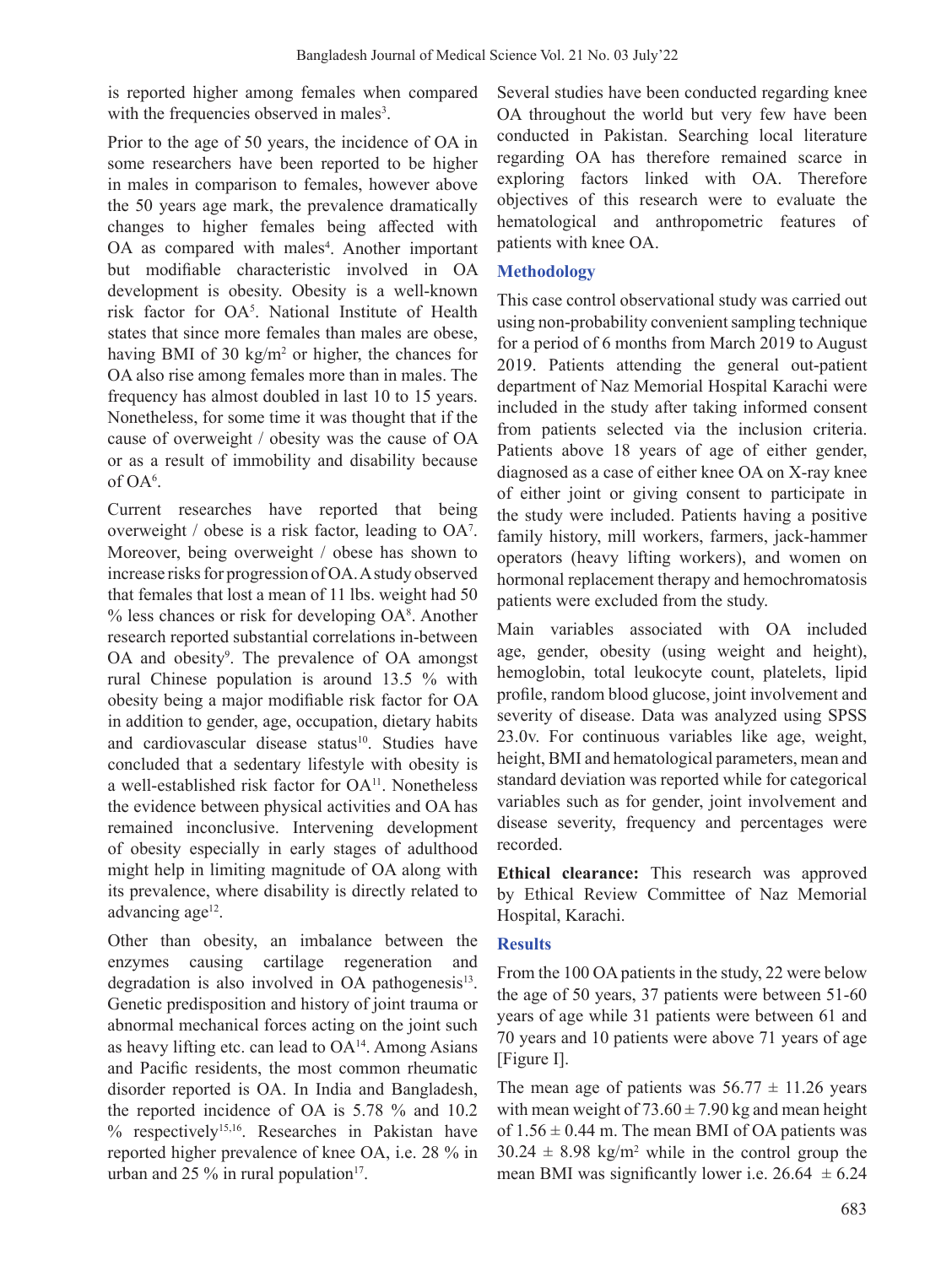is reported higher among females when compared with the frequencies observed in males<sup>3</sup>.

Prior to the age of 50 years, the incidence of OA in some researchers have been reported to be higher in males in comparison to females, however above the 50 years age mark, the prevalence dramatically changes to higher females being affected with OA as compared with males<sup>4</sup>. Another important but modifiable characteristic involved in OA development is obesity. Obesity is a well-known risk factor for OA<sup>5</sup> . National Institute of Health states that since more females than males are obese, having BMI of 30 kg/m<sup>2</sup> or higher, the chances for OA also rise among females more than in males. The frequency has almost doubled in last 10 to 15 years. Nonetheless, for some time it was thought that if the cause of overweight / obesity was the cause of OA or as a result of immobility and disability because of OA<sup>6</sup> .

Current researches have reported that being overweight / obese is a risk factor, leading to OA7 . Moreover, being overweight / obese has shown to increase risks for progression of OA. A study observed that females that lost a mean of 11 lbs. weight had 50 % less chances or risk for developing OA<sup>8</sup>. Another research reported substantial correlations in-between OA and obesity<sup>9</sup>. The prevalence of OA amongst rural Chinese population is around 13.5 % with obesity being a major modifiable risk factor for OA in addition to gender, age, occupation, dietary habits and cardiovascular disease status<sup>10</sup>. Studies have concluded that a sedentary lifestyle with obesity is a well-established risk factor for OA<sup>11</sup>. Nonetheless the evidence between physical activities and OA has remained inconclusive. Intervening development of obesity especially in early stages of adulthood might help in limiting magnitude of OA along with its prevalence, where disability is directly related to advancing age $12$ .

Other than obesity, an imbalance between the enzymes causing cartilage regeneration and degradation is also involved in OA pathogenesis $^{13}$ . Genetic predisposition and history of joint trauma or abnormal mechanical forces acting on the joint such as heavy lifting etc. can lead to  $OA<sup>14</sup>$ . Among Asians and Pacific residents, the most common rheumatic disorder reported is OA. In India and Bangladesh, the reported incidence of OA is 5.78 % and 10.2 % respectively15,16. Researches in Pakistan have reported higher prevalence of knee OA, i.e. 28 % in urban and 25  $\%$  in rural population<sup>17</sup>.

Several studies have been conducted regarding knee OA throughout the world but very few have been conducted in Pakistan. Searching local literature regarding OA has therefore remained scarce in exploring factors linked with OA. Therefore objectives of this research were to evaluate the hematological and anthropometric features of patients with knee OA.

## **Methodology**

This case control observational study was carried out using non-probability convenient sampling technique for a period of 6 months from March 2019 to August 2019. Patients attending the general out-patient department of Naz Memorial Hospital Karachi were included in the study after taking informed consent from patients selected via the inclusion criteria. Patients above 18 years of age of either gender, diagnosed as a case of either knee OA on X-ray knee of either joint or giving consent to participate in the study were included. Patients having a positive family history, mill workers, farmers, jack-hammer operators (heavy lifting workers), and women on hormonal replacement therapy and hemochromatosis patients were excluded from the study.

Main variables associated with OA included age, gender, obesity (using weight and height), hemoglobin, total leukocyte count, platelets, lipid profile, random blood glucose, joint involvement and severity of disease. Data was analyzed using SPSS 23.0v. For continuous variables like age, weight, height, BMI and hematological parameters, mean and standard deviation was reported while for categorical variables such as for gender, joint involvement and disease severity, frequency and percentages were recorded.

**Ethical clearance:** This research was approved by Ethical Review Committee of Naz Memorial Hospital, Karachi.

## **Results**

From the 100 OA patients in the study, 22 were below the age of 50 years, 37 patients were between 51-60 years of age while 31 patients were between 61 and 70 years and 10 patients were above 71 years of age [Figure I].

The mean age of patients was  $56.77 \pm 11.26$  years with mean weight of  $73.60 \pm 7.90$  kg and mean height of  $1.56 \pm 0.44$  m. The mean BMI of OA patients was  $30.24 \pm 8.98$  kg/m<sup>2</sup> while in the control group the mean BMI was significantly lower i.e.  $26.64 \pm 6.24$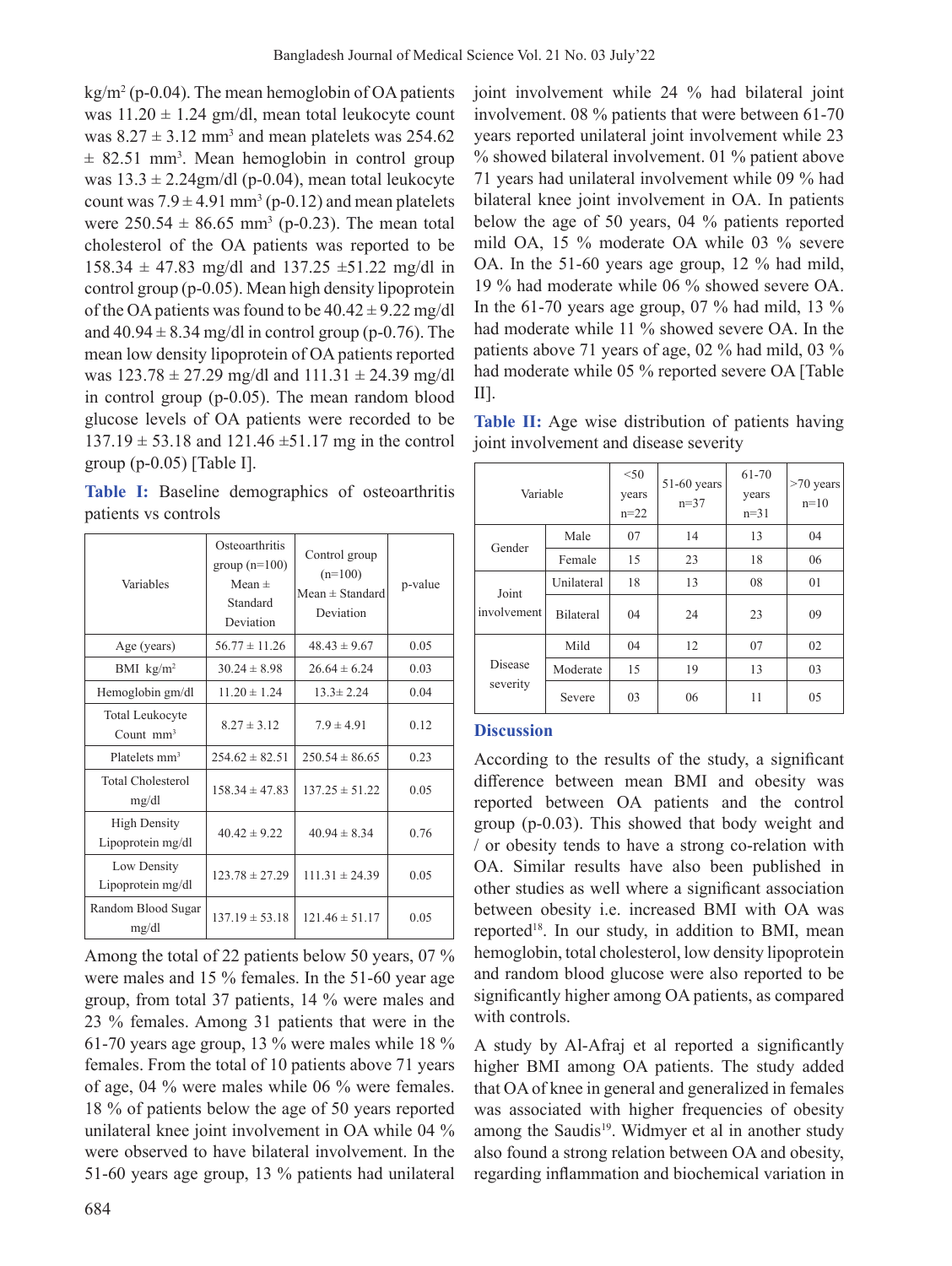$\text{kg/m}^2$  (p-0.04). The mean hemoglobin of OA patients was  $11.20 \pm 1.24$  gm/dl, mean total leukocyte count was  $8.27 \pm 3.12$  mm<sup>3</sup> and mean platelets was 254.62  $\pm$  82.51 mm<sup>3</sup>. Mean hemoglobin in control group was  $13.3 \pm 2.24$ gm/dl (p-0.04), mean total leukocyte count was  $7.9 \pm 4.91$  mm<sup>3</sup> (p-0.12) and mean platelets were  $250.54 \pm 86.65$  mm<sup>3</sup> (p-0.23). The mean total cholesterol of the OA patients was reported to be  $158.34 \pm 47.83$  mg/dl and  $137.25 \pm 51.22$  mg/dl in control group (p-0.05). Mean high density lipoprotein of the OA patients was found to be  $40.42 \pm 9.22$  mg/dl and  $40.94 \pm 8.34$  mg/dl in control group (p-0.76). The mean low density lipoprotein of OA patients reported was  $123.78 \pm 27.29$  mg/dl and  $111.31 \pm 24.39$  mg/dl in control group (p-0.05). The mean random blood glucose levels of OA patients were recorded to be  $137.19 \pm 53.18$  and  $121.46 \pm 51.17$  mg in the control group  $(p-0.05)$  [Table I].

**Table I:** Baseline demographics of osteoarthritis patients vs controls

| Variables                                | Osteoarthritis<br>group $(n=100)$<br>Mean $\pm$<br>Standard<br>Deviation | Control group<br>$(n=100)$<br>$Mean \pm Standard$<br>Deviation | p-value |
|------------------------------------------|--------------------------------------------------------------------------|----------------------------------------------------------------|---------|
| Age (years)                              | $56.77 \pm 11.26$                                                        | $48.43 \pm 9.67$                                               | 0.05    |
| BMI $\text{kg/m}^2$                      | $30.24 \pm 8.98$                                                         | $26.64 \pm 6.24$                                               | 0.03    |
| Hemoglobin gm/dl                         | $11.20 \pm 1.24$                                                         | $13.3 \pm 2.24$                                                | 0.04    |
| <b>Total Leukocyte</b><br>Count $mm3$    | $8.27 \pm 3.12$                                                          | $7.9 \pm 4.91$                                                 | 0.12    |
| Platelets mm <sup>3</sup>                | $254.62 \pm 82.51$                                                       | $250.54 \pm 86.65$                                             | 0.23    |
| Total Cholesterol<br>mg/dl               | $158.34 \pm 47.83$                                                       | $137.25 \pm 51.22$                                             | 0.05    |
| <b>High Density</b><br>Lipoprotein mg/dl | $40.42 \pm 9.22$                                                         | $40.94 \pm 8.34$                                               | 0.76    |
| Low Density<br>Lipoprotein mg/dl         | $123.78 \pm 27.29$                                                       | $111.31 \pm 24.39$                                             | 0.05    |
| Random Blood Sugar<br>mg/dl              | $137.19 \pm 53.18$                                                       | $121.46 \pm 51.17$                                             | 0.05    |

Among the total of 22 patients below 50 years, 07 % were males and 15 % females. In the 51-60 year age group, from total 37 patients, 14 % were males and 23 % females. Among 31 patients that were in the 61-70 years age group, 13 % were males while 18 % females. From the total of 10 patients above 71 years of age, 04 % were males while 06 % were females. 18 % of patients below the age of 50 years reported unilateral knee joint involvement in OA while 04 % were observed to have bilateral involvement. In the 51-60 years age group, 13 % patients had unilateral joint involvement while 24 % had bilateral joint involvement. 08 % patients that were between 61-70 years reported unilateral joint involvement while 23 % showed bilateral involvement. 01 % patient above 71 years had unilateral involvement while 09 % had bilateral knee joint involvement in OA. In patients below the age of 50 years, 04 % patients reported mild OA, 15 % moderate OA while 03 % severe OA. In the 51-60 years age group, 12 % had mild, 19 % had moderate while 06 % showed severe OA. In the 61-70 years age group, 07 % had mild, 13 % had moderate while 11 % showed severe OA. In the patients above 71 years of age, 02 % had mild, 03 % had moderate while 05 % reported severe OA [Table II].

**Table II:** Age wise distribution of patients having joint involvement and disease severity

| Variable             |                  | < 50<br>years<br>$n = 22$ | 51-60 years<br>$n=37$ | 61-70<br>years<br>$n=31$ | $>70$ years<br>$n=10$ |
|----------------------|------------------|---------------------------|-----------------------|--------------------------|-----------------------|
| Gender               | Male             | 07                        | 14                    | 13                       | 04                    |
|                      | Female           | 15                        | 23                    | 18                       | 06                    |
| Joint<br>involvement | Unilateral       | 18                        | 13                    | 08                       | 01                    |
|                      | <b>Bilateral</b> | 04                        | 24                    | 23                       | 09                    |
| Disease<br>severity  | Mild             | 04                        | 12                    | 07                       | 02                    |
|                      | Moderate         | 15                        | 19                    | 13                       | 03                    |
|                      | Severe           | 03                        | 06                    | 11                       | 05                    |

### **Discussion**

According to the results of the study, a significant difference between mean BMI and obesity was reported between OA patients and the control group (p-0.03). This showed that body weight and / or obesity tends to have a strong co-relation with OA. Similar results have also been published in other studies as well where a significant association between obesity i.e. increased BMI with OA was reported<sup>18</sup>. In our study, in addition to BMI, mean hemoglobin, total cholesterol, low density lipoprotein and random blood glucose were also reported to be significantly higher among OA patients, as compared with controls.

A study by Al-Afraj et al reported a significantly higher BMI among OA patients. The study added that OAof knee in general and generalized in females was associated with higher frequencies of obesity among the Saudis<sup>19</sup>. Widmyer et al in another study also found a strong relation between OA and obesity, regarding inflammation and biochemical variation in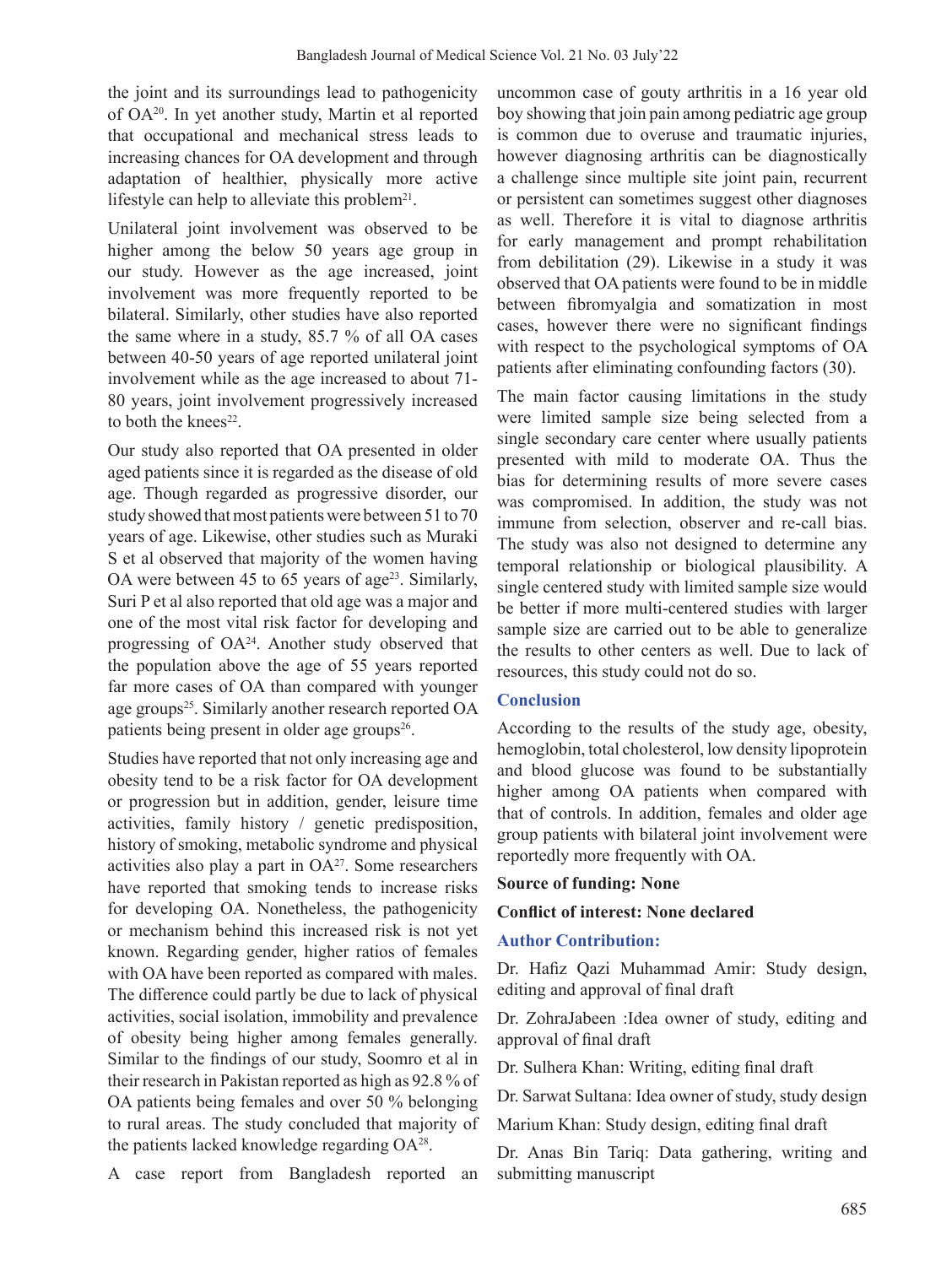the joint and its surroundings lead to pathogenicity of OA20. In yet another study, Martin et al reported that occupational and mechanical stress leads to increasing chances for OA development and through adaptation of healthier, physically more active lifestyle can help to alleviate this problem<sup>21</sup>.

Unilateral joint involvement was observed to be higher among the below 50 years age group in our study. However as the age increased, joint involvement was more frequently reported to be bilateral. Similarly, other studies have also reported the same where in a study, 85.7 % of all OA cases between 40-50 years of age reported unilateral joint involvement while as the age increased to about 71- 80 years, joint involvement progressively increased to both the knees $22$ .

Our study also reported that OA presented in older aged patients since it is regarded as the disease of old age. Though regarded as progressive disorder, our study showed that most patients were between 51 to 70 years of age. Likewise, other studies such as Muraki S et al observed that majority of the women having OA were between 45 to 65 years of age<sup>23</sup>. Similarly, Suri P et al also reported that old age was a major and one of the most vital risk factor for developing and progressing of  $OA^{24}$ . Another study observed that the population above the age of 55 years reported far more cases of OA than compared with younger age groups<sup>25</sup>. Similarly another research reported OA patients being present in older age groups<sup>26</sup>.

Studies have reported that not only increasing age and obesity tend to be a risk factor for OA development or progression but in addition, gender, leisure time activities, family history / genetic predisposition, history of smoking, metabolic syndrome and physical activities also play a part in  $OA^{27}$ . Some researchers have reported that smoking tends to increase risks for developing OA. Nonetheless, the pathogenicity or mechanism behind this increased risk is not yet known. Regarding gender, higher ratios of females with OA have been reported as compared with males. The difference could partly be due to lack of physical activities, social isolation, immobility and prevalence of obesity being higher among females generally. Similar to the findings of our study, Soomro et al in their research in Pakistan reported as high as 92.8 % of OA patients being females and over 50 % belonging to rural areas. The study concluded that majority of the patients lacked knowledge regarding  $OA^{28}$ .

A case report from Bangladesh reported an

uncommon case of gouty arthritis in a 16 year old boy showing that join pain among pediatric age group is common due to overuse and traumatic injuries, however diagnosing arthritis can be diagnostically a challenge since multiple site joint pain, recurrent or persistent can sometimes suggest other diagnoses as well. Therefore it is vital to diagnose arthritis for early management and prompt rehabilitation from debilitation (29). Likewise in a study it was observed that OA patients were found to be in middle between fibromyalgia and somatization in most cases, however there were no significant findings with respect to the psychological symptoms of OA patients after eliminating confounding factors (30).

The main factor causing limitations in the study were limited sample size being selected from a single secondary care center where usually patients presented with mild to moderate OA. Thus the bias for determining results of more severe cases was compromised. In addition, the study was not immune from selection, observer and re-call bias. The study was also not designed to determine any temporal relationship or biological plausibility. A single centered study with limited sample size would be better if more multi-centered studies with larger sample size are carried out to be able to generalize the results to other centers as well. Due to lack of resources, this study could not do so.

### **Conclusion**

According to the results of the study age, obesity, hemoglobin, total cholesterol, low density lipoprotein and blood glucose was found to be substantially higher among OA patients when compared with that of controls. In addition, females and older age group patients with bilateral joint involvement were reportedly more frequently with OA.

### **Source of funding: None**

### **Conflict of interest: None declared**

### **Author Contribution:**

Dr. Hafiz Qazi Muhammad Amir: Study design, editing and approval of final draft

Dr. ZohraJabeen :Idea owner of study, editing and approval of final draft

Dr. Sulhera Khan: Writing, editing final draft

Dr. Sarwat Sultana: Idea owner of study, study design

Marium Khan: Study design, editing final draft

Dr. Anas Bin Tariq: Data gathering, writing and submitting manuscript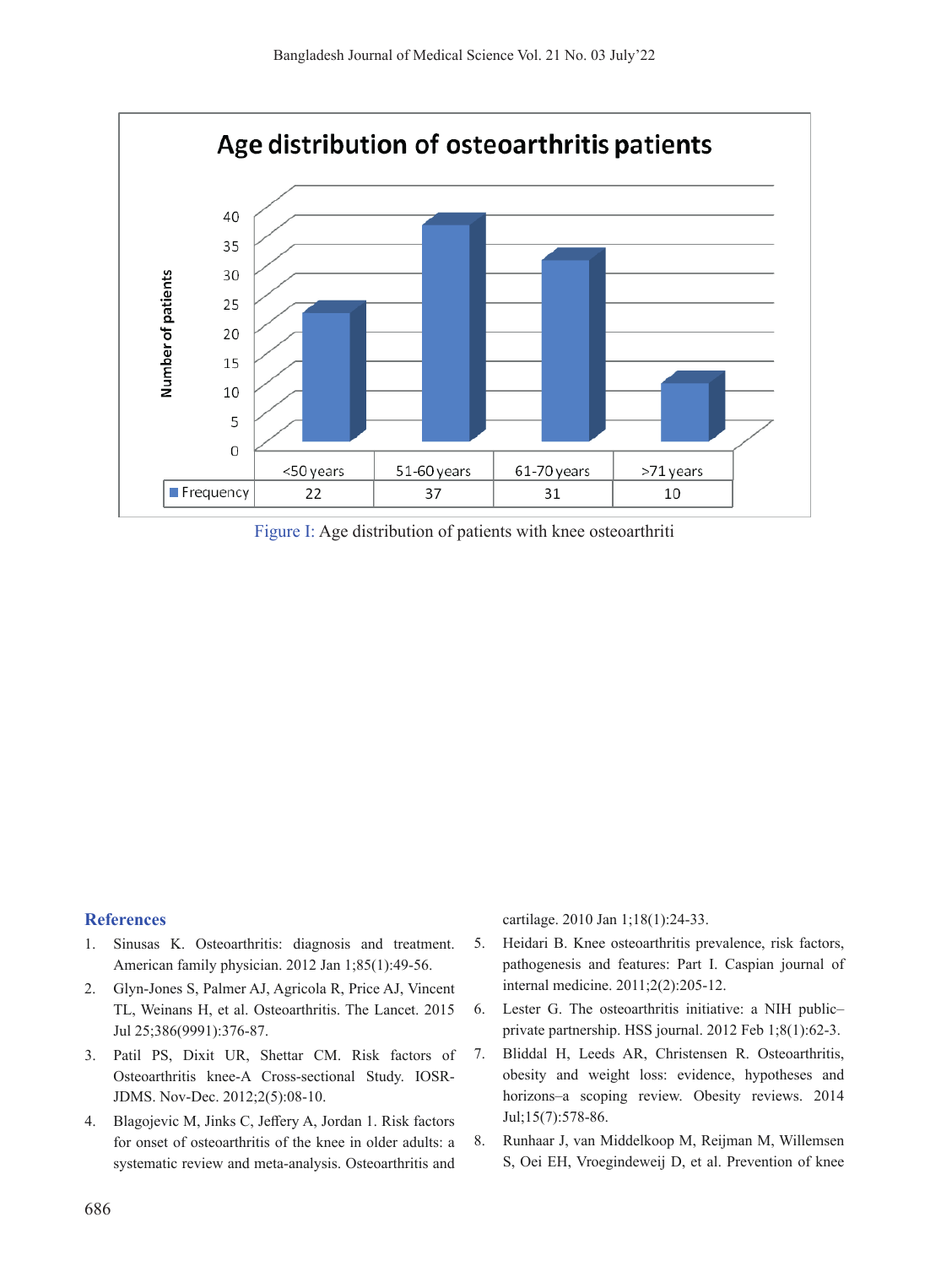

Figure I: Age distribution of patients with knee osteoarthriti

#### **References**

- 1. Sinusas K. Osteoarthritis: diagnosis and treatment. American family physician. 2012 Jan 1;85(1):49-56.
- 2. Glyn-Jones S, Palmer AJ, Agricola R, Price AJ, Vincent TL, Weinans H, et al. Osteoarthritis. The Lancet. 2015 Jul 25;386(9991):376-87.
- 3. Patil PS, Dixit UR, Shettar CM. Risk factors of Osteoarthritis knee-A Cross-sectional Study. IOSR-JDMS. Nov-Dec. 2012;2(5):08-10.
- 4. Blagojevic M, Jinks C, Jeffery A, Jordan 1. Risk factors for onset of osteoarthritis of the knee in older adults: a systematic review and meta-analysis. Osteoarthritis and

cartilage. 2010 Jan 1;18(1):24-33.

- 5. Heidari B. Knee osteoarthritis prevalence, risk factors, pathogenesis and features: Part I. Caspian journal of internal medicine. 2011;2(2):205-12.
- 6. Lester G. The osteoarthritis initiative: a NIH public– private partnership. HSS journal. 2012 Feb 1;8(1):62-3.
- 7. Bliddal H, Leeds AR, Christensen R. Osteoarthritis, obesity and weight loss: evidence, hypotheses and horizons–a scoping review. Obesity reviews. 2014 Jul;15(7):578-86.
- 8. Runhaar J, van Middelkoop M, Reijman M, Willemsen S, Oei EH, Vroegindeweij D, et al. Prevention of knee